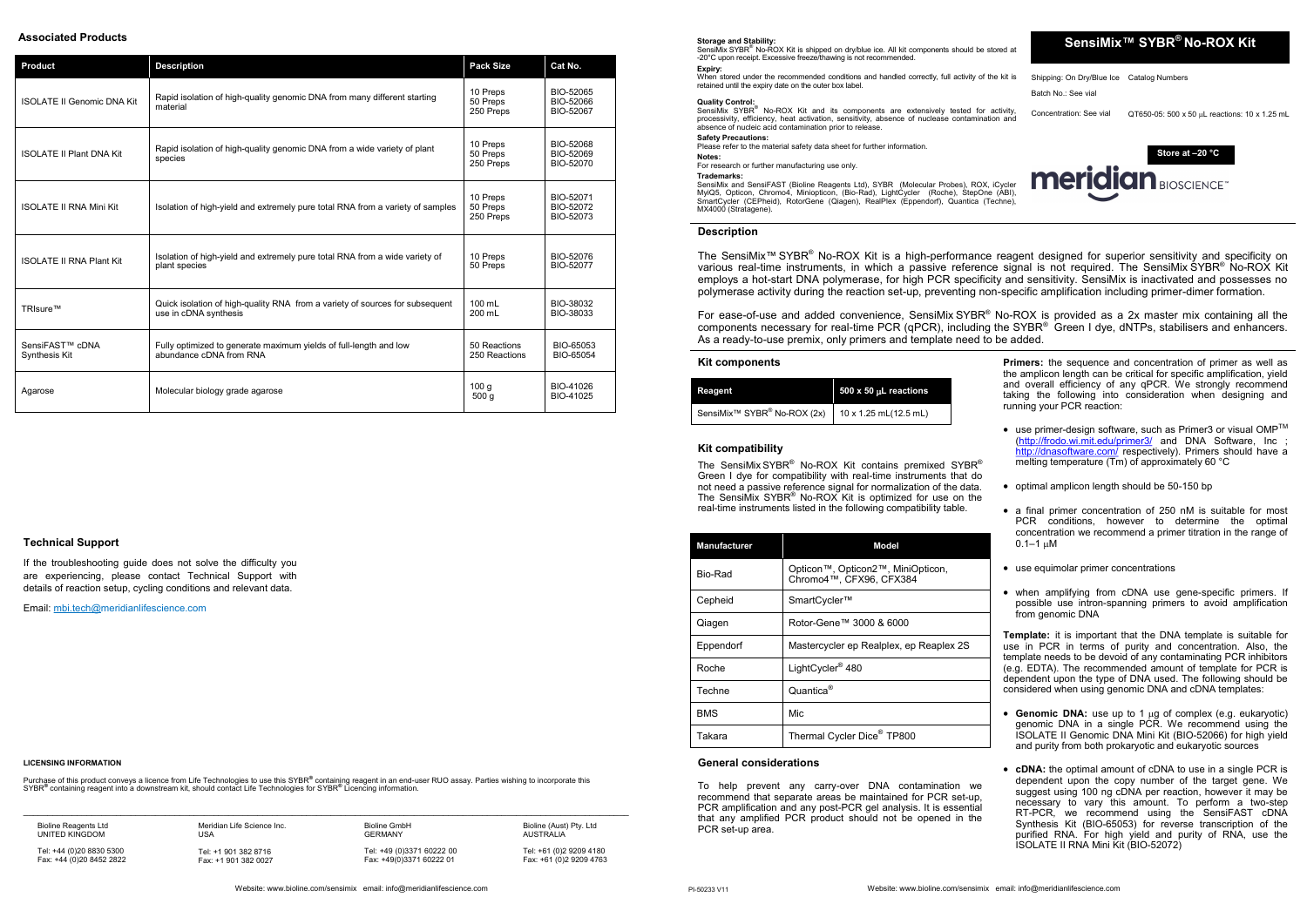# **SensiMix™ SYBR ® No-ROX Kit**

Shipping: On Dry/Blue Ice Catalog Numbers Batch No.: See vial

Concentration: See vial  $QT650-05: 500 \times 50 \mu L$  reactions: 10 x 1.25 mL

**Storage and Stability:** 

SensiMix SYBR<sup>®</sup> No-ROX Kit is shipped on dry/blue ice. All kit components should be stored at -20°C upon receipt. Excessive freeze/thawing is not recommended. **Expiry:**

**Quality Control:**<br>SensiMix SYBR® No-ROX Kit and its components are extensively tested for activity, processivity, efficiency, heat activation, sensitivity, absence of nuclease contamination and absence of nucleic acid contamination prior to release.

When stored under the recommended conditions and handled correctly, full activity of the kit is retained until the expiry date on the outer box label.

MyiQ5, Opticon, Chromo4, Miniopticon, (Bio-Rad), LightCycler (Roche), StepOne (ABI), SmartCycler (CEPheid), RotorGene (Qiagen), RealPlex (Eppendorf), Quantica (Techne), MX4000 (Stratagene)

#### **Safety Precautions:**

The SensiMix SYBR<sup>®</sup> No-ROX Kit contains premixed SYBR<sup>®</sup> Green I dye for compatibility with real-time instruments that do not need a passive reference signal for normalization of the data. The SensiMix SYBR<sup>®</sup> No-ROX Kit is optimized for use on the real-time instruments listed in the following compatibility table.

Please refer to the material safety data sheet for further information.

#### **Notes:**

For research or further manufacturing use only.

**Trademarks:** SensiMix and SensiFAST (Bioline Reagents Ltd), SYBR (Molecular Probes), ROX, iCycler

#### **Kit components**



| Reagent                                             | 500 x 50 µL reactions |  |
|-----------------------------------------------------|-----------------------|--|
| SensiMix <sup>™</sup> SYBR <sup>®</sup> No-ROX (2x) | 10 x 1.25 mL(12.5 mL) |  |

**Primers:** the sequence and concentration of primer as well as the amplicon length can be critical for specific amplification, yield and overall efficiency of any qPCR. We strongly recommend taking the following into consideration when designing and running your PCR reaction:

| <b>Manufacturer</b> | Model                                                        |  |
|---------------------|--------------------------------------------------------------|--|
| Bio-Rad             | Opticon™, Opticon2™, MiniOpticon,<br>Chromo4™. CFX96. CFX384 |  |
| Cepheid             | SmartCycler™                                                 |  |
| Qiagen              | Rotor-Gene™ 3000 & 6000                                      |  |
| Eppendorf           | Mastercycler ep Realplex, ep Reaplex 2S                      |  |
| Roche               | LightCycler <sup>®</sup> 480                                 |  |
| Techne              | Quantica <sup>®</sup>                                        |  |
| <b>BMS</b>          | Mic.                                                         |  |
| Takara              | Thermal Cycler Dice <sup>®</sup> TP800                       |  |

- $\bullet~$  use primer-design software, such as Primer3 or visual OMP<sup>TM</sup> [\(http://frodo.wi.mit.edu/primer3/](http://frodo.wi.mit.edu/primer3/) and DNA Software, Inc ; <http://dnasoftware.com/> respectively). Primers should have a melting temperature (Tm) of approximately 60 °C
- optimal amplicon length should be 50-150 bp
- a final primer concentration of 250 nM is suitable for most PCR conditions, however to determine the optimal concentration we recommend a primer titration in the range of  $0.1 - 1 \mu M$
- use equimolar primer concentrations
- when amplifying from cDNA use gene-specific primers. If possible use intron-spanning primers to avoid amplification from genomic DNA

### **Description**

The SensiMix™ SYBR® No-ROX Kit is a high-performance reagent designed for superior sensitivity and specificity on various real-time instruments, in which a passive reference signal is not required. The SensiMix SYBR® No-ROX Kit employs a hot-start DNA polymerase, for high PCR specificity and sensitivity. SensiMix is inactivated and possesses no polymerase activity during the reaction set-up, preventing non-specific amplification including primer-dimer formation.

- Genomic DNA: use up to 1 µg of complex (e.g. eukaryotic) genomic DNA in a single PCR. We recommend using the ISOLATE II Genomic DNA Mini Kit (BIO-52066) for high yield and purity from both prokaryotic and eukaryotic sources
- **cDNA:** the optimal amount of cDNA to use in a single PCR is dependent upon the copy number of the target gene. We suggest using 100 ng cDNA per reaction, however it may be necessary to vary this amount. To perform a two-step RT-PCR, we recommend using the SensiFAST cDNA Synthesis Kit (BIO-65053) for reverse transcription of the purified RNA. For high yield and purity of RNA, use the ISOLATE II RNA Mini Kit (BIO-52072)

For ease-of-use and added convenience, SensiMix SYBR® No-ROX is provided as a 2x master mix containing all the components necessary for real-time PCR (qPCR), including the SYBR<sup>®</sup> Green I dye, dNTPs, stabilisers and enhancers. As a ready-to-use premix, only primers and template need to be added.

Purchase of this product conveys a licence from Life Technologies to use this SYBR® containing reagent in an end-user RUO assay. Parties wishing to incorporate this SYBR**®** containing reagent into a downstream kit, should contact Life Technologies for SYBR**®** Licencing information.

 $\_$  , and the state of the state of the state of the state of the state of the state of the state of the state of the state of the state of the state of the state of the state of the state of the state of the state of the

## **Kit compatibility**

**Template:** it is important that the DNA template is suitable for use in PCR in terms of purity and concentration. Also, the template needs to be devoid of any contaminating PCR inhibitors (e.g. EDTA). The recommended amount of template for PCR is dependent upon the type of DNA used. The following should be considered when using genomic DNA and cDNA templates:

#### **General considerations**

To help prevent any carry-over DNA contamination we recommend that separate areas be maintained for PCR set-up, PCR amplification and any post-PCR gel analysis. It is essential that any amplified PCR product should not be opened in the PCR set-up area.

#### **LICENSING INFORMATION**

Website: www.bioline.com/sensimix email: info@meridianlifescience.com

## **Associated Products**

| <b>Product</b>                                      | <b>Description</b>                                                                                                                                                                                                                                                                                    | <b>Pack Size</b>                  | Cat No.                             |
|-----------------------------------------------------|-------------------------------------------------------------------------------------------------------------------------------------------------------------------------------------------------------------------------------------------------------------------------------------------------------|-----------------------------------|-------------------------------------|
| <b>ISOLATE II Genomic DNA Kit</b>                   | Rapid isolation of high-quality genomic DNA from many different starting<br>material                                                                                                                                                                                                                  | 10 Preps<br>50 Preps<br>250 Preps | BIO-52065<br>BIO-52066<br>BIO-52067 |
| <b>ISOLATE II Plant DNA Kit</b>                     | Rapid isolation of high-quality genomic DNA from a wide variety of plant<br>species                                                                                                                                                                                                                   | 10 Preps<br>50 Preps<br>250 Preps | BIO-52068<br>BIO-52069<br>BIO-52070 |
| <b>ISOLATE II RNA Mini Kit</b>                      | Isolation of high-yield and extremely pure total RNA from a variety of samples                                                                                                                                                                                                                        |                                   | BIO-52071<br>BIO-52072<br>BIO-52073 |
| <b>ISOLATE II RNA Plant Kit</b>                     | Isolation of high-yield and extremely pure total RNA from a wide variety of<br>plant species<br>Quick isolation of high-quality RNA from a variety of sources for subsequent<br>use in cDNA synthesis<br>Fully optimized to generate maximum yields of full-length and low<br>abundance cDNA from RNA |                                   | BIO-52076<br>BIO-52077              |
| TRIsure™                                            |                                                                                                                                                                                                                                                                                                       |                                   | BIO-38032<br>BIO-38033              |
| SensiFAST <sup>™</sup> cDNA<br><b>Synthesis Kit</b> |                                                                                                                                                                                                                                                                                                       |                                   | BIO-65053<br>BIO-65054              |
| Agarose                                             | Molecular biology grade agarose                                                                                                                                                                                                                                                                       | 100q<br>500 g                     | BIO-41026<br>BIO-41025              |

Bioline Reagents Ltd UNITED KINGDOM

Tel: +44 (0)20 8830 5300 Fax: +44 (0)20 8452 2822 Meridian Life Science Inc. USA

Tel: +1 901 382 8716 Fax: +1 901 382 0027 Bioline GmbH

GERMANY Tel: +49 (0)3371 60222 00 Fax: +49(0)3371 60222 01

Bioline (Aust) Pty. Ltd AUSTRALIA Tel: +61 (0)2 9209 4180 Fax: +61 (0)2 9209 4763

#### **Technical Support**

If the troubleshooting guide does not solve the difficulty you are experiencing, please contact Technical Support with details of reaction setup, cycling conditions and relevant data.

Email: [mbi.tech@me](mailto:tech@bioline.com)ridianlifescience.com